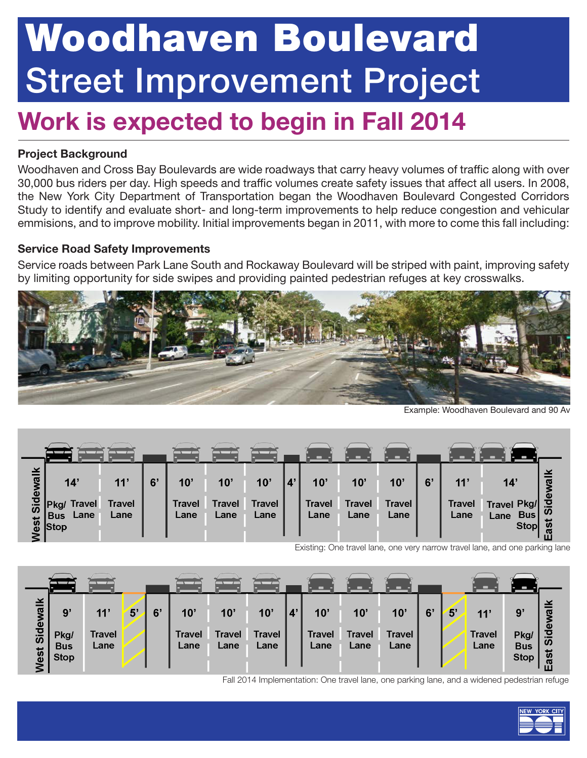# Woodhaven Boulevard Street Improvement Project

### Work is expected to begin in Fall 2014

### Project Background

Woodhaven and Cross Bay Boulevards are wide roadways that carry heavy volumes of traffic along with over 30,000 bus riders per day. High speeds and traffic volumes create safety issues that affect all users. In 2008, the New York City Department of Transportation began the Woodhaven Boulevard Congested Corridors Study to identify and evaluate short- and long-term improvements to help reduce congestion and vehicular emmisions, and to improve mobility. Initial improvements began in 2011, with more to come this fall including:

#### Service Road Safety Improvements

Service roads between Park Lane South and Rockaway Boulevard will be striped with paint, improving safety by limiting opportunity for side swipes and providing painted pedestrian refuges at key crosswalks.



Example: Woodhaven Boulevard and 90 Av

| ⊻<br>-<br>Sidewa<br>$\frac{3}{9}$ Stop | 14'<br>Travel<br>⊿Pkg/<br>Lane<br><b>Bus</b> | 11'<br>Travel<br>Lane | 6' | $10^{\circ}$<br><b>Travel</b><br>Lane | 10<br><b>Travel</b><br>Lane | 10 <sup>1</sup><br><b>Travel</b><br>Lane | 10'<br><b>Travel</b><br>Lane | 10'<br><b>Travel</b><br>Lane | 10<br><b>Travel</b><br>Lane | 6' | 11'<br><b>Travel</b><br>Lane | 14'<br>Travel Pkg/<br><b>Bus</b><br>Lane<br><b>Stop</b> | wa<br>ಕೆ<br>$\overline{5}$<br>5<br>œ<br>ш |
|----------------------------------------|----------------------------------------------|-----------------------|----|---------------------------------------|-----------------------------|------------------------------------------|------------------------------|------------------------------|-----------------------------|----|------------------------------|---------------------------------------------------------|-------------------------------------------|

Existing: One travel lane, one very narrow travel lane, and one parking lane



Fall 2014 Implementation: One travel lane, one parking lane, and a widened pedestrian refuge